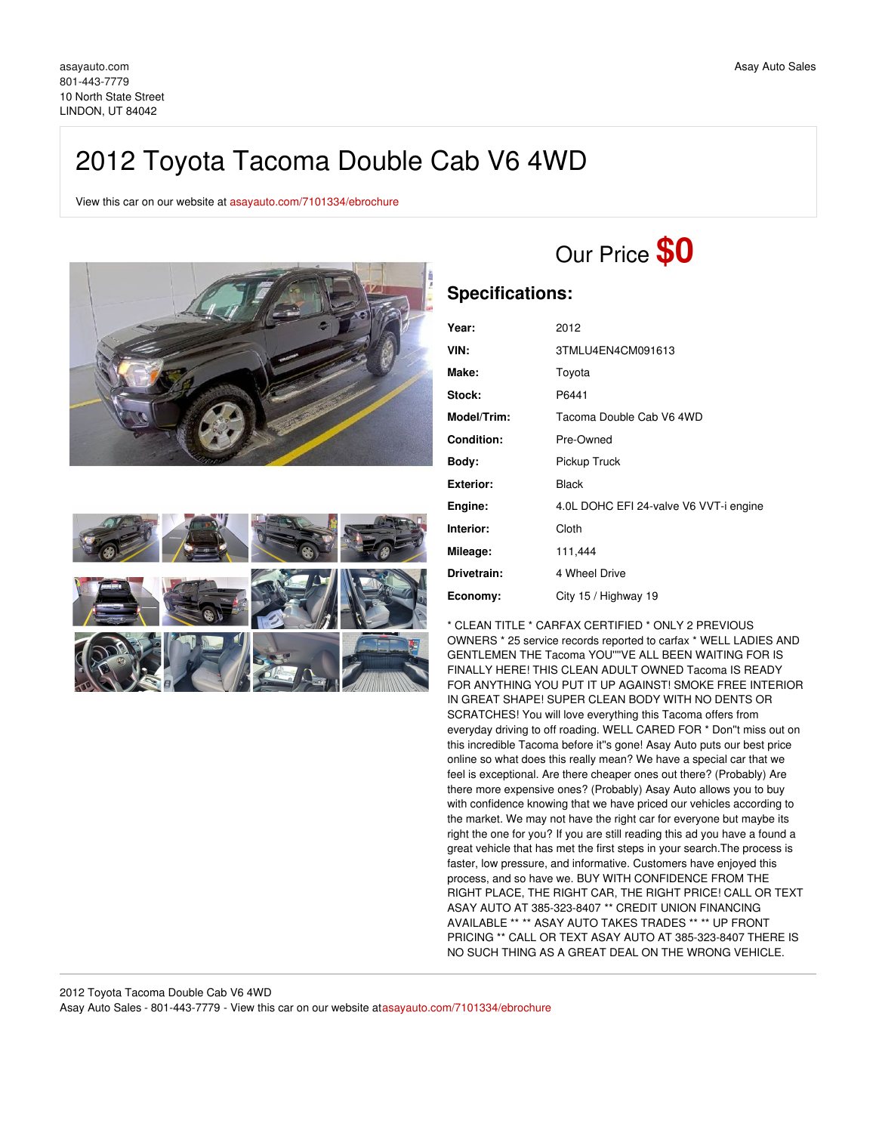# 2012 Toyota Tacoma Double Cab V6 4WD

View this car on our website at [asayauto.com/7101334/ebrochure](https://asayauto.com/vehicle/7101334/2012-toyota-tacoma-double-cab-v6-4wd-lindon-ut-84042/7101334/ebrochure)





# Our Price **\$0**

## **Specifications:**

| Year:             | 2012                                   |
|-------------------|----------------------------------------|
| VIN:              | 3TMLU4EN4CM091613                      |
| Make:             | Toyota                                 |
| Stock:            | P6441                                  |
| Model/Trim:       | Tacoma Double Cab V6 4WD               |
| <b>Condition:</b> | Pre-Owned                              |
| Body:             | Pickup Truck                           |
| <b>Exterior:</b>  | Black                                  |
| Engine:           | 4.0L DOHC EFI 24-valve V6 VVT-i engine |
| Interior:         | Cloth                                  |
| Mileage:          | 111,444                                |
| Drivetrain:       | 4 Wheel Drive                          |
| Economy:          | City 15 / Highway 19                   |

\* CLEAN TITLE \* CARFAX CERTIFIED \* ONLY 2 PREVIOUS OWNERS \* 25 service records reported to carfax \* WELL LADIES AND GENTLEMEN THE Tacoma YOU''''VE ALL BEEN WAITING FOR IS FINALLY HERE! THIS CLEAN ADULT OWNED Tacoma IS READY FOR ANYTHING YOU PUT IT UP AGAINST! SMOKE FREE INTERIOR IN GREAT SHAPE! SUPER CLEAN BODY WITH NO DENTS OR SCRATCHES! You will love everything this Tacoma offers from everyday driving to off roading. WELL CARED FOR \* Don''t miss out on this incredible Tacoma before it''s gone! Asay Auto puts our best price online so what does this really mean? We have a special car that we feel is exceptional. Are there cheaper ones out there? (Probably) Are there more expensive ones? (Probably) Asay Auto allows you to buy with confidence knowing that we have priced our vehicles according to the market. We may not have the right car for everyone but maybe its right the one for you? If you are still reading this ad you have a found a great vehicle that has met the first steps in your search.The process is faster, low pressure, and informative. Customers have enjoyed this process, and so have we. BUY WITH CONFIDENCE FROM THE RIGHT PLACE, THE RIGHT CAR, THE RIGHT PRICE! CALL OR TEXT ASAY AUTO AT 385-323-8407 \*\* CREDIT UNION FINANCING AVAILABLE \*\* \*\* ASAY AUTO TAKES TRADES \*\* \*\* UP FRONT PRICING \*\* CALL OR TEXT ASAY AUTO AT 385-323-8407 THERE IS NO SUCH THING AS A GREAT DEAL ON THE WRONG VEHICLE.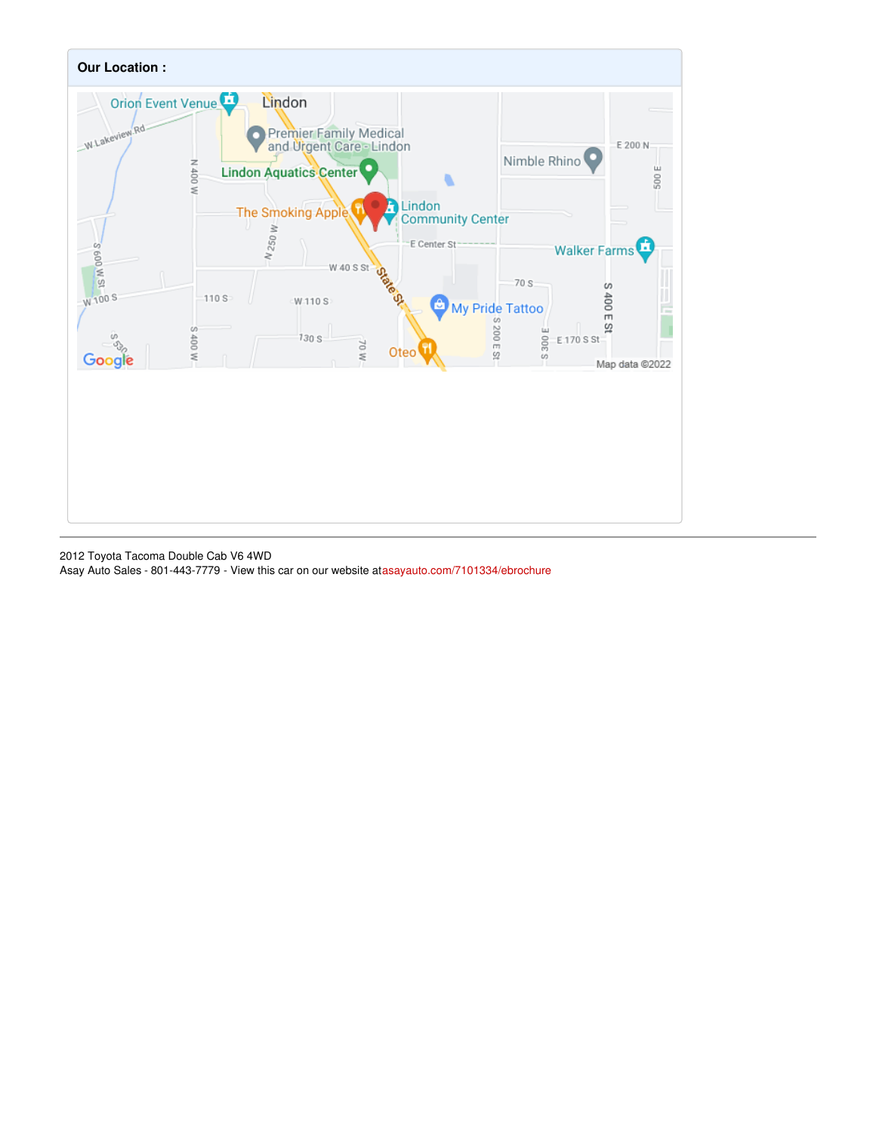

2012 Toyota Tacoma Double Cab V6 4WD Asay Auto Sales - 801-443-7779 - View this car on our website at[asayauto.com/7101334/ebrochure](https://asayauto.com/vehicle/7101334/2012-toyota-tacoma-double-cab-v6-4wd-lindon-ut-84042/7101334/ebrochure)